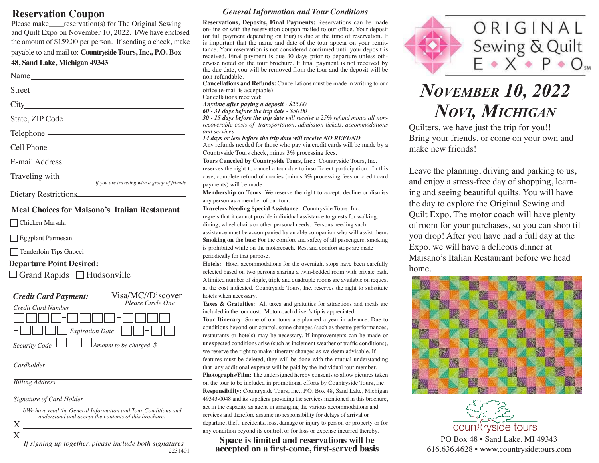### **Reservation Coupon**

Please make reservation(s) for The Original Sewing and Quilt Expo on November 10, 2022. I/We have enclosed the amount of \$159.00 per person. If sending a check, make

payable to and mail to: **Countryside Tours, Inc., P.O. Box** 

### **48, Sand Lake, Michigan 49343**

Name Street

City

State, ZIP Code

Telephone Cell Phone ————————————————————

E-mail Address

Traveling with *If you are traveling with a group of friends*

Dietary Restrictions

#### **Meal Choices for Maisono's Italian Restaurant**

Chicken Marsala

Eggplant Parmesan

Tenderloin Tips Gnocci

### **Departure Point Desired:**

Grand Rapids Hudsonville

| <b>Credit Card Payment:</b>                    | Visa/MC//Discover<br>Please Circle One |
|------------------------------------------------|----------------------------------------|
| Credit Card Number<br> -             <i>- </i> |                                        |
| $\Box$ Expiration Date $\Box$ $\Box$           |                                        |
| Security Code $\Box$ Amount to be charged \$   |                                        |

*Cardholder*

*Billing Address*

*Signature of Card Holder*

*I/We have read the General Information and Tour Conditions and understand and accept the contents of this brochure:*  $X_{-}$ 

X

*If signing up together, please include both signatures* 2231401

### *General Information and Tour Conditions*

**Reservations, Deposits, Final Payments:** Reservations can be made on-line or with the reservation coupon mailed to our office. Your deposit (or full payment depending on tour) is due at the time of reservation. It is important that the name and date of the tour appear on your remittance. Your reservation is not considered confirmed until your deposit is received. Final payment is due 30 days prior to departure unless otherwise noted on the tour brochure. If final payment is not received by the due date, you will be removed from the tour and the deposit will be non-refundable.

**Cancellations and Refunds:** Cancellations must be made in writing to our office (e-mail is acceptable).

Cancellations received:

*Anytime after paying a deposit - \$25.00 60 - 31 days before the trip date - \$50.00*

*30 - 15 days before the trip date will receive a 25% refund minus all nonrecoverable costs of transportation, admission tickets, accommodations and services*

*14 days or less before the trip date will receive NO REFUND*

Any refunds needed for those who pay via credit cards will be made by a Countryside Tours check, minus 3% processing fees.

**Tours Canceled by Countryside Tours, Inc.:** Countryside Tours, Inc. reserves the right to cancel a tour due to insufficient participation. In this case, complete refund of monies (minus 3% processing fees on credit card payments) will be made.

**Membership on Tours:** We reserve the right to accept, decline or dismiss any person as a member of our tour.

**Travelers Needing Special Assistance:** Countryside Tours, Inc. regrets that it cannot provide individual assistance to guests for walking, dining, wheel chairs or other personal needs. Persons needing such assistance must be accompanied by an able companion who will assist them. **Smoking on the bus:** For the comfort and safety of all passengers, smoking is prohibited while on the motorcoach. Rest and comfort stops are made periodically for that purpose.

**Hotels:** Hotel accommodations for the overnight stops have been carefully selected based on two persons sharing a twin-bedded room with private bath. A limited number of single, triple and quadruple rooms are available on request at the cost indicated. Countryside Tours, Inc. reserves the right to substitute hotels when necessary.

**Taxes & Gratuities:** All taxes and gratuities for attractions and meals are included in the tour cost. Motorcoach driver's tip is appreciated.

**Tour Itinerary:** Some of our tours are planned a year in advance. Due to conditions beyond our control, some changes (such as theatre performances, restaurants or hotels) may be necessary. If improvements can be made or unexpected conditions arise (such as inclement weather or traffic conditions), we reserve the right to make itinerary changes as we deem advisable. If features must be deleted, they will be done with the mutual understanding that any additional expense will be paid by the individual tour member. **Photographs/Film:** The undersigned hereby consents to allow pictures taken on the tour to be included in promotional efforts by Countryside Tours, Inc. **Responsibility:** Countryside Tours, Inc., P.O. Box 48, Sand Lake, Michigan 49343-0048 and its suppliers providing the services mentioned in this brochure, act in the capacity as agent in arranging the various accommodations and services and therefore assume no responsibility for delays of arrival or departure, theft, accidents, loss, damage or injury to person or property or for any condition beyond its control, or for loss or expense incurred thereby.

### **Space is limited and reservations will be accepted on a first-come, first-served basis**



# *November 10, 2022 Novi, Michigan*

Quilters, we have just the trip for you!! Bring your friends, or come on your own and make new friends!

Leave the planning, driving and parking to us, and enjoy a stress-free day of shopping, learning and seeing beautiful quilts. You will have the day to explore the Original Sewing and Quilt Expo. The motor coach will have plenty of room for your purchases, so you can shop til you drop! After you have had a full day at the Expo, we will have a delicous dinner at Maisano's Italian Restaurant before we head home.





PO Box 48 • Sand Lake, MI 49343 616.636.4628 • www.countrysidetours.com